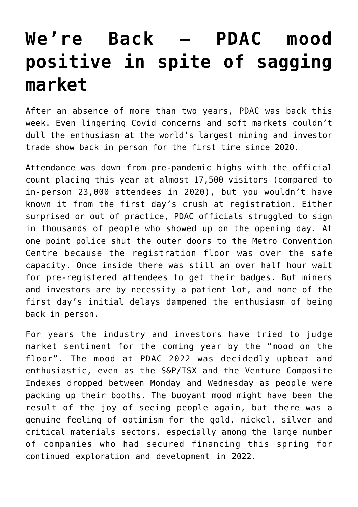## **[We're Back – PDAC mood](https://investorintel.com/market-analysis/market-analysis-intel/were-back-pdac-mood-positive-in-spite-of-sagging-market/) [positive in spite of sagging](https://investorintel.com/market-analysis/market-analysis-intel/were-back-pdac-mood-positive-in-spite-of-sagging-market/) [market](https://investorintel.com/market-analysis/market-analysis-intel/were-back-pdac-mood-positive-in-spite-of-sagging-market/)**

After an absence of more than two years, PDAC was back this week. Even lingering Covid concerns and soft markets couldn't dull the enthusiasm at the world's largest mining and investor trade show back in person for the first time since 2020.

Attendance was down from pre-pandemic highs with the official count placing this year at almost 17,500 visitors (compared to in-person 23,000 attendees in 2020), but you wouldn't have known it from the first day's crush at registration. Either surprised or out of practice, PDAC officials struggled to sign in thousands of people who showed up on the opening day. At one point police shut the outer doors to the Metro Convention Centre because the registration floor was over the safe capacity. Once inside there was still an over half hour wait for pre-registered attendees to get their badges. But miners and investors are by necessity a patient lot, and none of the first day's initial delays dampened the enthusiasm of being back in person.

For years the industry and investors have tried to judge market sentiment for the coming year by the "mood on the floor". The mood at PDAC 2022 was decidedly upbeat and enthusiastic, even as the S&P/TSX and the Venture Composite Indexes dropped between Monday and Wednesday as people were packing up their booths. The buoyant mood might have been the result of the joy of seeing people again, but there was a genuine feeling of optimism for the gold, nickel, silver and critical materials sectors, especially among the large number of companies who had secured financing this spring for continued exploration and development in 2022.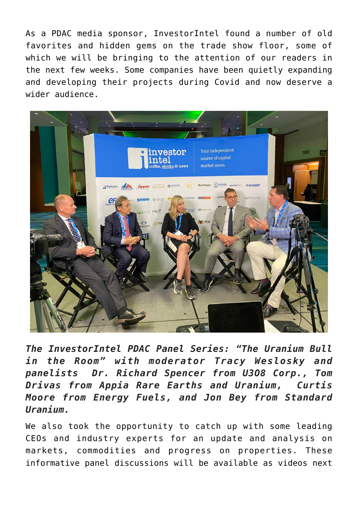As a PDAC media sponsor, InvestorIntel found a number of old favorites and hidden gems on the trade show floor, some of which we will be bringing to the attention of our readers in the next few weeks. Some companies have been quietly expanding and developing their projects during Covid and now deserve a wider audience.



*The InvestorIntel PDAC Panel Series: "The Uranium Bull in the Room" with moderator Tracy Weslosky and panelists Dr. Richard Spencer from U3O8 Corp., Tom Drivas from Appia Rare Earths and Uranium, Curtis Moore from Energy Fuels, and Jon Bey from Standard Uranium.*

We also took the opportunity to catch up with some leading CEOs and industry experts for an update and analysis on markets, commodities and progress on properties. These informative panel discussions will be available as videos next